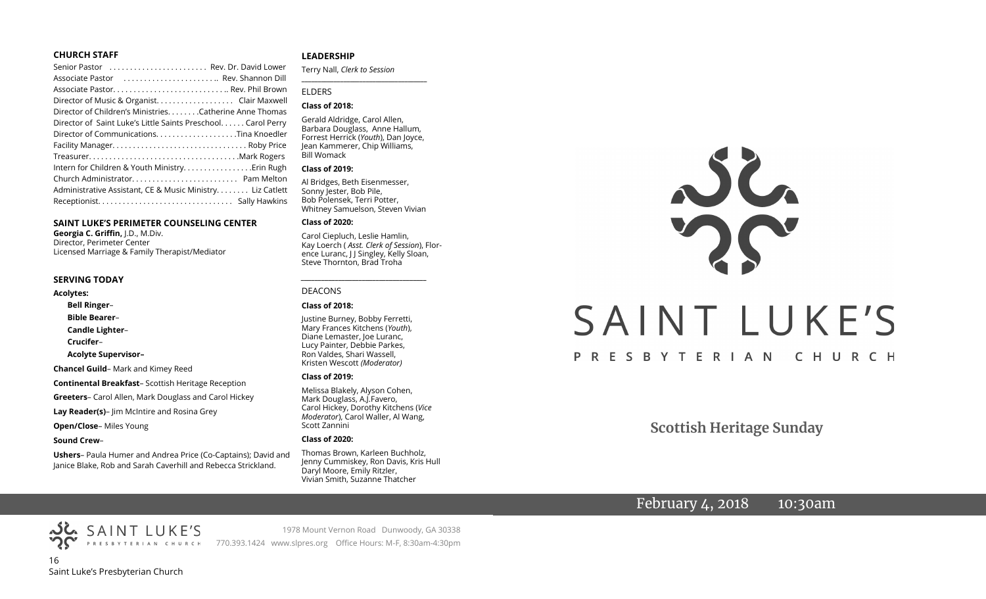#### **CHURCH STAFF**

#### **SAINT LUKE'S PERIMETER COUNSELING CENTER**

**Georgia C. Griffin,** J.D., M.Div. Director, Perimeter Center Licensed Marriage & Family Therapist/Mediator

#### **SERVING TODAY**

**Acolytes:**

**Bell Ringer**–

**Bible Bearer**–

**Candle Lighter**–

**Crucifer**–

**Acolyte Supervisor–**

**Chancel Guild**– Mark and Kimey Reed

**Continental Breakfast**– Scottish Heritage Reception

**Greeters**– Carol Allen, Mark Douglass and Carol Hickey

**Lay Reader(s)**– Jim McIntire and Rosina Grey

**Open/Close**– Miles Young

**Sound Crew**–

**Ushers**– Paula Humer and Andrea Price (Co-Captains); David and Janice Blake, Rob and Sarah Caverhill and Rebecca Strickland.

#### **LEADERSHIP**

Terry Nall, *Clerk to Session*  **\_\_\_\_\_\_\_\_\_\_\_\_\_\_\_\_\_\_\_\_\_\_\_\_\_\_\_\_\_\_\_\_\_\_\_\_\_\_\_**

#### ELDERS

#### **Class of 2018:**

Gerald Aldridge, Carol Allen, Barbara Douglass, Anne Hallum, Forrest Herrick (*Youth*), Dan Joyce, Jean Kammerer, Chip Williams, Bill Womack

#### **Class of 2019:**

Al Bridges, Beth Eisenmesser, Sonny Jester, Bob Pile, Bob Polensek, Terri Potter, Whitney Samuelson, Steven Vivian

#### **Class of 2020:**

Carol Ciepluch, Leslie Hamlin, Kay Loerch ( *Asst. Clerk of Session*), Florence Luranc, J J Singley, Kelly Sloan, Steve Thornton, Brad Troha

*\_\_\_\_\_\_\_\_\_\_\_\_\_\_\_\_\_\_\_\_\_\_\_\_\_\_\_\_\_\_\_\_\_\_\_\_\_*

#### DEACONS

#### **Class of 2018:**

Justine Burney, Bobby Ferretti, Mary Frances Kitchens (*Youth*), Diane Lemaster, Joe Luranc, Lucy Painter, Debbie Parkes, Ron Valdes, Shari Wassell, Kristen Wescott *(Moderator)*

#### **Class of 2019:**

Melissa Blakely, Alyson Cohen, Mark Douglass, A.J.Favero, Carol Hickey, Dorothy Kitchens (*Vice Moderator*), Carol Waller, Al Wang, Scott Zannini

#### **Class of 2020:**

Thomas Brown, Karleen Buchholz, Jenny Cummiskey, Ron Davis, Kris Hull Daryl Moore, Emily Ritzler, Vivian Smith, Suzanne Thatcher

# JC. SAINT LUKE'S PRESBYTERIAN CHURCH

**Scottish Heritage Sunday**

# February 4, 2018 10:30am

16 Saint Luke's Presbyterian Church

SAINT LUKE'S

1978 Mount Vernon Road Dunwoody, GA 30338 PRESBYTERIAN CHURCH 770.393.1424 www.slpres.org Office Hours: M-F, 8:30am-4:30pm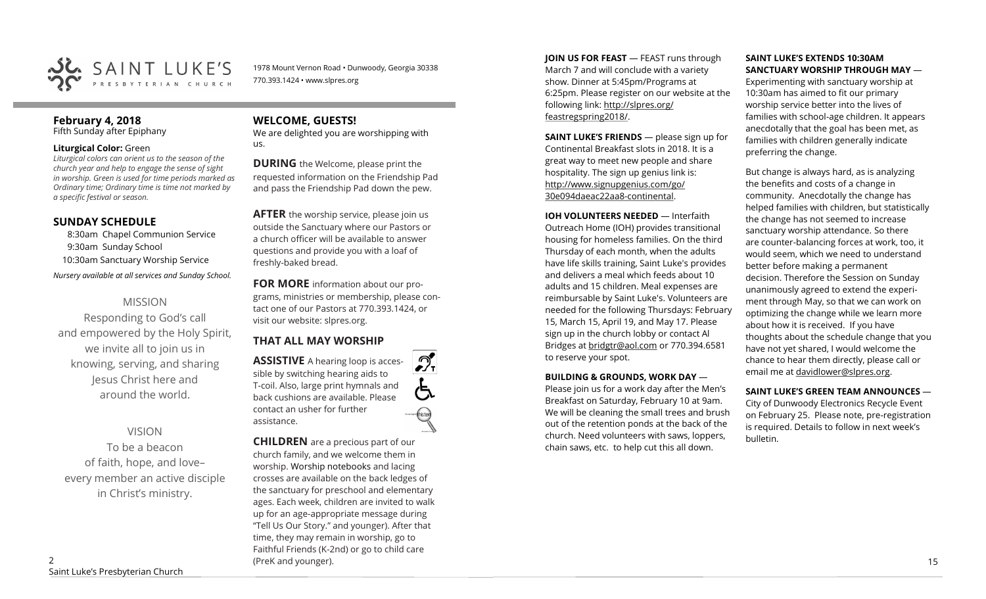

1978 Mount Vernon Road • Dunwoody, Georgia 30338 770.393.1424 • www.slpres.org

# **February 4, 2018**

Fifth Sunday after Epiphany

#### **Liturgical Color:** Green

*Liturgical colors can orient us to the season of the church year and help to engage the sense of sight in worship. Green is used for time periods marked as Ordinary time; Ordinary time is time not marked by a specific festival or season.*

#### **SUNDAY SCHEDULE**

8:30am Chapel Communion Service 9:30am Sunday School 10:30am Sanctuary Worship Service

*Nursery available at all services and Sunday School.* 

### MISSION

Responding to God's call and empowered by the Holy Spirit, we invite all to join us in knowing, serving, and sharing Jesus Christ here and around the world.

#### VISION

To be a beacon of faith, hope, and love– every member an active disciple in Christ's ministry.

## **WELCOME, GUESTS!**

We are delighted you are worshipping with us.

**DURING** the Welcome, please print the requested information on the Friendship Pad and pass the Friendship Pad down the pew.

**AFTER** the worship service, please join us outside the Sanctuary where our Pastors or a church officer will be available to answer questions and provide you with a loaf of freshly-baked bread.

**FOR MORE** information about our programs, ministries or membership, please contact one of our Pastors at 770.393.1424, or visit our website: slpres.org.

 $\mathcal{D}_{\mathrm{r}}$ 

# **THAT ALL MAY WORSHIP**

**ASSISTIVE** A hearing loop is accessible by switching hearing aids to T-coil. Also, large print hymnals and back cushions are available. Please contact an usher for further assistance.

**CHILDREN** are a precious part of our church family, and we welcome them in worship. Worship notebooks and lacing crosses are available on the back ledges of the sanctuary for preschool and elementary ages. Each week, children are invited to walk up for an age-appropriate message during "Tell Us Our Story." and younger). After that time, they may remain in worship, go to Faithful Friends (K-2nd) or go to child care (PreK and younger). 15

**JOIN US FOR FEAST** — FEAST runs through March 7 and will conclude with a variety show. Dinner at 5:45pm/Programs at 6:25pm. Please register on our website at the following link: [http://slpres.org/](http://slpres.org/feastregspring2018/) [feastregspring2018/.](http://slpres.org/feastregspring2018/)

**SAINT LUKE'S FRIENDS** — please sign up for Continental Breakfast slots in 2018. It is a great way to meet new people and share hospitality. The sign up genius link is: <http://www.signupgenius.com/go/> 30e094daeac22aa8-continental.

**IOH VOLUNTEERS NEEDED** — Interfaith Outreach Home (IOH) provides transitional housing for homeless families. On the third Thursday of each month, when the adults have life skills training, Saint Luke's provides and delivers a meal which feeds about 10 adults and 15 children. Meal expenses are reimbursable by Saint Luke's. Volunteers are needed for the following Thursdays: February 15, March 15, April 19, and May 17. Please sign up in the church lobby or contact Al Bridges at [bridgtr@aol.com](mailto:bridgtr@aol.com) or 770.394.6581 to reserve your spot.

#### **BUILDING & GROUNDS, WORK DAY** —

Please join us for a work day after the Men's Breakfast on Saturday, February 10 at 9am. We will be cleaning the small trees and brush out of the retention ponds at the back of the church. Need volunteers with saws, loppers, chain saws, etc. to help cut this all down.

#### **SAINT LUKE'S EXTENDS 10:30AM SANCTUARY WORSHIP THROUGH MAY** —

Experimenting with sanctuary worship at 10:30am has aimed to fit our primary worship service better into the lives of families with school-age children. It appears anecdotally that the goal has been met, as families with children generally indicate preferring the change.

But change is always hard, as is analyzing the benefits and costs of a change in community. Anecdotally the change has helped families with children, but statistically the change has not seemed to increase sanctuary worship attendance. So there are counter-balancing forces at work, too, it would seem, which we need to understand better before making a permanent decision. Therefore the Session on Sunday unanimously agreed to extend the experiment through May, so that we can work on optimizing the change while we learn more about how it is received. If you have thoughts about the schedule change that you have not yet shared, I would welcome the chance to hear them directly, please call or email me at [davidlower@slpres.org.](mailto:davidlower@slpres.org)

#### **SAINT LUKE'S GREEN TEAM ANNOUNCES** —

City of Dunwoody Electronics Recycle Event on February 25. Please note, pre-registration is required. Details to follow in next week's bulletin.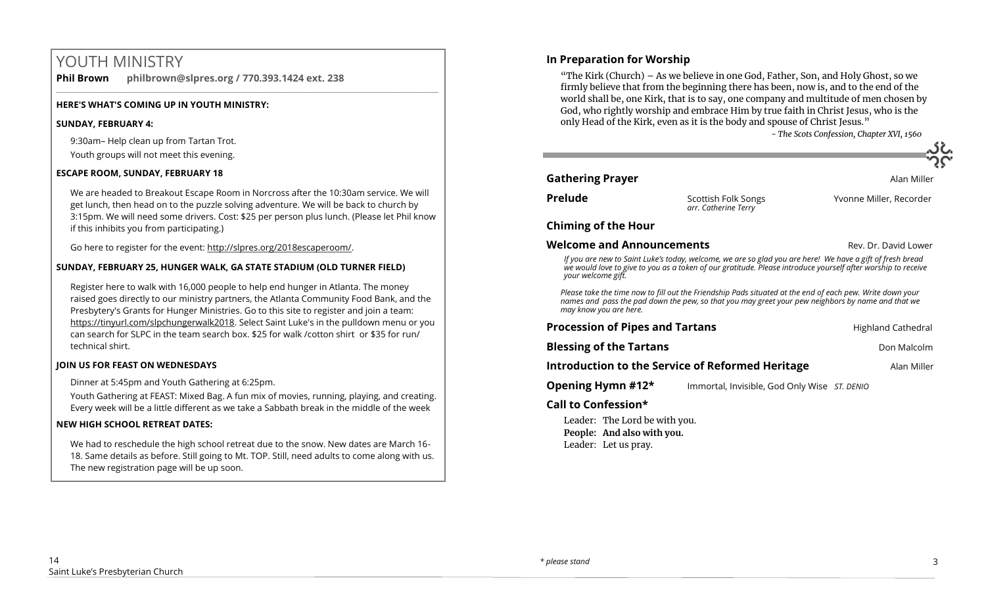# YOUTH MINISTRY

**Phil Brown philbrown@slpres.org / 770.393.1424 ext. 238** 

#### **HERE'S WHAT'S COMING UP IN YOUTH MINISTRY:**

#### **SUNDAY, FEBRUARY 4:**

9:30am– Help clean up from Tartan Trot. Youth groups will not meet this evening.

#### **ESCAPE ROOM, SUNDAY, FEBRUARY 18**

We are headed to Breakout Escape Room in Norcross after the 10:30am service. We will get lunch, then head on to the puzzle solving adventure. We will be back to church by 3:15pm. We will need some drivers. Cost: \$25 per person plus lunch. (Please let Phil know if this inhibits you from participating.)

 $\_$  ,  $\_$  ,  $\_$  ,  $\_$  ,  $\_$  ,  $\_$  ,  $\_$  ,  $\_$  ,  $\_$  ,  $\_$  ,  $\_$  ,  $\_$  ,  $\_$  ,  $\_$  ,  $\_$  ,  $\_$  ,  $\_$  ,  $\_$  ,  $\_$  ,  $\_$ 

Go here to register for the event: http://slpres.org/2018escaperoom/.

#### **SUNDAY, FEBRUARY 25, HUNGER WALK, GA STATE STADIUM (OLD TURNER FIELD)**

Register here to walk with 16,000 people to help end hunger in Atlanta. The money raised goes directly to our ministry partners, the Atlanta Community Food Bank, and the Presbytery's Grants for Hunger Ministries. [Go to this site to register a](http://engage.acfb.org/site/TR/2018HungerWalk/General?fr_id=1856&pg=entry)nd join a team: https://tinyurl.com/slpchungerwalk2018. Select Saint Luke's in the pulldown menu or you can search for SLPC in the team search box. \$25 for walk /cotton shirt or \$35 for run/ technical shirt.

#### **JOIN US FOR FEAST ON WEDNESDAYS**

Dinner at 5:45pm and Youth Gathering at 6:25pm.

Youth Gathering at FEAST: Mixed Bag. A fun mix of movies, running, playing, and creating. Every week will be a little different as we take a Sabbath break in the middle of the week

#### **NEW HIGH SCHOOL RETREAT DATES:**

We had to reschedule the high school retreat due to the snow. New dates are March 16- 18. Same details as before. Still going to Mt. TOP. Still, need adults to come along with us. The new registration page will be up soon.

#### **In Preparation for Worship**

"The Kirk (Church) – As we believe in one God, Father, Son, and Holy Ghost, so we firmly believe that from the beginning there has been, now is, and to the end of the world shall be, one Kirk, that is to say, one company and multitude of men chosen by God, who rightly worship and embrace Him by true faith in Christ Jesus, who is the only Head of the Kirk, even as it is the body and spouse of Christ Jesus."

*- The Scots Confession, Chapter XVI, 1560*

#### **Gathering Prayer Alan Miller Alan Miller Alan Miller**

*arr. Catherine Terry* 

**Prelude** Scottish Folk Songs The Yvonne Miller, Recorder

#### **Chiming of the Hour**

#### **Welcome and Announcements Rev. Dr. David Lower**

*If you are new to Saint Luke's today, welcome, we are so glad you are here! We have a gift of fresh bread we would love to give to you as a token of our gratitude. Please introduce yourself after worship to receive your welcome gift.*

*Please take the time now to fill out the Friendship Pads situated at the end of each pew. Write down your names and pass the pad down the pew, so that you may greet your pew neighbors by name and that we may know you are here.*

| <b>Procession of Pipes and Tartans</b>                  |                                              | <b>Highland Cathedral</b> |
|---------------------------------------------------------|----------------------------------------------|---------------------------|
| <b>Blessing of the Tartans</b>                          |                                              | Don Malcolm               |
| <b>Introduction to the Service of Reformed Heritage</b> |                                              | Alan Miller               |
| Opening Hymn #12*                                       | Immortal, Invisible, God Only Wise ST. DENIO |                           |
| Call to Canfeedingh                                     |                                              |                           |

#### **Call to Confession\***

Leader: The Lord be with you. **People: And also with you.** Leader: Let us pray.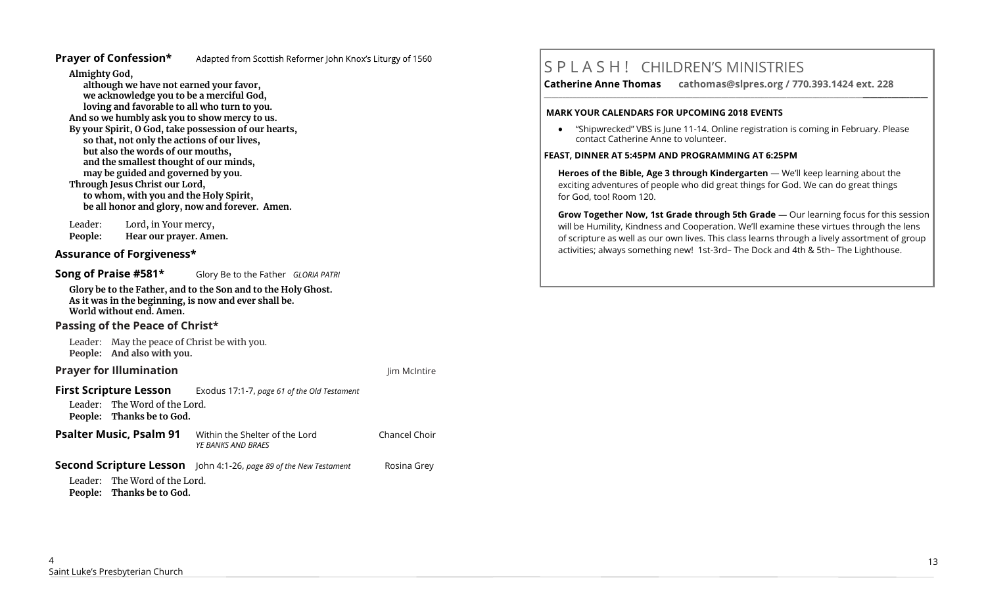#### **Prayer of Confession\*** Adapted from Scottish Reformer John Knox's Liturgy of 1560

**Almighty God,** 

**although we have not earned your favor, we acknowledge you to be a merciful God, loving and favorable to all who turn to you. And so we humbly ask you to show mercy to us. By your Spirit, O God, take possession of our hearts, so that, not only the actions of our lives, but also the words of our mouths, and the smallest thought of our minds, may be guided and governed by you. Through Jesus Christ our Lord, to whom, with you and the Holy Spirit, be all honor and glory, now and forever. Amen.** 

Leader: Lord, in Your mercy, **People: Hear our prayer. Amen.**

#### **Assurance of Forgiveness\***

**Song of Praise #581\*** Glory Be to the Father *GLORIA PATRI*

**Glory be to the Father, and to the Son and to the Holy Ghost. As it was in the beginning, is now and ever shall be. World without end. Amen.** 

#### **Passing of the Peace of Christ\***

Leader: May the peace of Christ be with you. **People: And also with you.** 

#### **Prayer for Illumination Jim McIntire Jim McIntire Jim McIntire**

**First Scripture Lesson** Exodus 17:1-7, *page 61 of the Old Testament* Leader: The Word of the Lord. **People: Thanks be to God. Psalter Music, Psalm 91** Within the Shelter of the Lord Chancel Choir *YE BANKS AND BRAES*

# **Second Scripture Lesson** John 4:1-26, page 89 of the New Testament **Rosina Grey**

Leader: The Word of the Lord. **People: Thanks be to God.**

# S P L A S H ! CHILDREN'S MINISTRIES

**Catherine Anne Thomas cathomas@slpres.org / 770.393.1424 ext. 228** 

#### **MARK YOUR CALENDARS FOR UPCOMING 2018 EVENTS**

• "Shipwrecked" VBS is June 11-14. Online registration is coming in February. Please contact Catherine Anne to volunteer.

**\_\_\_\_\_\_\_\_\_\_\_\_\_\_\_\_\_\_\_\_\_\_\_\_\_\_\_\_\_\_\_\_\_\_\_\_\_\_\_\_\_\_\_\_\_\_\_\_\_\_\_\_\_\_\_\_\_\_\_\_\_\_\_\_\_\_\_\_\_\_\_\_\_\_\_\_\_\_\_\_\_\_\_\_\_\_\_\_\_\_\_\_\_\_\_\_\_\_\_\_\_\_\_\_\_\_** 

#### **FEAST, DINNER AT 5:45PM AND PROGRAMMING AT 6:25PM**

**Heroes of the Bible, Age 3 through Kindergarten** — We'll keep learning about the exciting adventures of people who did great things for God. We can do great things for God, too! Room 120.

**Grow Together Now, 1st Grade through 5th Grade** — Our learning focus for this session will be Humility, Kindness and Cooperation. We'll examine these virtues through the lens of scripture as well as our own lives. This class learns through a lively assortment of group activities; always something new! 1st-3rd– The Dock and 4th & 5th– The Lighthouse.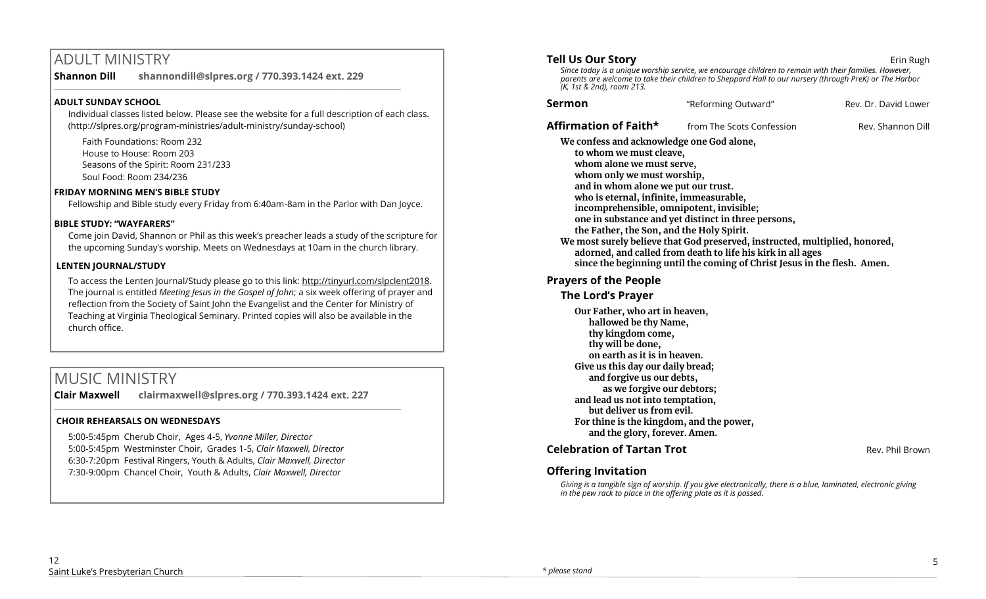# ADULT MINISTRY

**Shannon Dill shannondill@slpres.org / 770.393.1424 ext. 229**  \_\_\_\_\_\_\_\_\_\_\_\_\_\_\_\_\_\_\_\_\_\_\_\_\_\_\_\_\_\_\_\_\_\_\_\_\_\_\_\_\_\_\_\_\_\_\_\_\_\_\_\_\_\_\_\_\_\_\_\_\_\_\_\_\_\_\_\_\_\_\_\_\_\_\_\_\_\_\_\_\_\_\_\_\_\_\_\_

#### **ADULT SUNDAY SCHOOL**

Individual classes listed below. Please see the website for a full description of each class. (http://slpres.org/program-ministries/adult-ministry/sunday-school)

Faith Foundations: Room 232 House to House: Room 203 Seasons of the Spirit: Room 231/233 Soul Food: Room 234/236

#### **FRIDAY MORNING MEN'S BIBLE STUDY**

Fellowship and Bible study every Friday from 6:40am-8am in the Parlor with Dan Joyce.

#### **BIBLE STUDY: "WAYFARERS"**

Come join David, Shannon or Phil as this week's preacher leads a study of the scripture for the upcoming Sunday's worship. Meets on Wednesdays at 10am in the church library.

#### **LENTEN JOURNAL/STUDY**

To access the Lenten Journal/Study please go to this link: http://tinyurl.com/slpclent2018. The journal is entitled *Meeting Jesus in the Gospel of John*; a six week offering of prayer and reflection from the Society of Saint John the Evangelist and the Center for Ministry of Teaching at Virginia Theological Seminary. Printed copies will also be available in the church office.

# MUSIC MINISTRY

**Clair Maxwell clairmaxwell@slpres.org / 770.393.1424 ext. 227** 

 $\_$  , and the set of the set of the set of the set of the set of the set of the set of the set of the set of the set of the set of the set of the set of the set of the set of the set of the set of the set of the set of th

#### **CHOIR REHEARSALS ON WEDNESDAYS**

5:00-5:45pm Cherub Choir, Ages 4-5, *Yvonne Miller, Director*  5:00-5:45pm Westminster Choir, Grades 1-5, *Clair Maxwell, Director*  6:30-7:20pm Festival Ringers, Youth & Adults, *Clair Maxwell, Director*  7:30-9:00pm Chancel Choir, Youth & Adults, *Clair Maxwell, Director* 

#### **Tell Us Our Story and Story and Story and Story and Story and Story and Story and Story and Story and Story and Story and Story and Story and Story and Story and Story and Story and Story and Story and Story and Story and**

*Since today is a unique worship service, we encourage children to remain with their families. However, parents are welcome to take their children to Sheppard Hall to our nursery (through PreK) or The Harbor (K, 1st & 2nd), room 213.*

| Sermon | "Reforming Outward" | Rev. Dr. David Lower |
|--------|---------------------|----------------------|
|        |                     |                      |

**Affirmation of Faith\* from The Scots Confession** Rev. Shannon Dill

**We confess and acknowledge one God alone, to whom we must cleave, whom alone we must serve, whom only we must worship, and in whom alone we put our trust. who is eternal, infinite, immeasurable, incomprehensible, omnipotent, invisible; one in substance and yet distinct in three persons, the Father, the Son, and the Holy Spirit. We most surely believe that God preserved, instructed, multiplied, honored, adorned, and called from death to life his kirk in all ages since the beginning until the coming of Christ Jesus in the flesh. Amen.**

#### **Prayers of the People**

#### **The Lord's Prayer**

**Our Father, who art in heaven, hallowed be thy Name, thy kingdom come, thy will be done, on earth as it is in heaven. Give us this day our daily bread; and forgive us our debts, as we forgive our debtors; and lead us not into temptation, but deliver us from evil. For thine is the kingdom, and the power, and the glory, forever. Amen.** 

#### **Celebration of Tartan Trot Rev. Phil Brown** Rev. Phil Brown

#### **Offering Invitation**

*Giving is a tangible sign of worship. If you give electronically, there is a blue, laminated, electronic giving in the pew rack to place in the offering plate as it is passed.*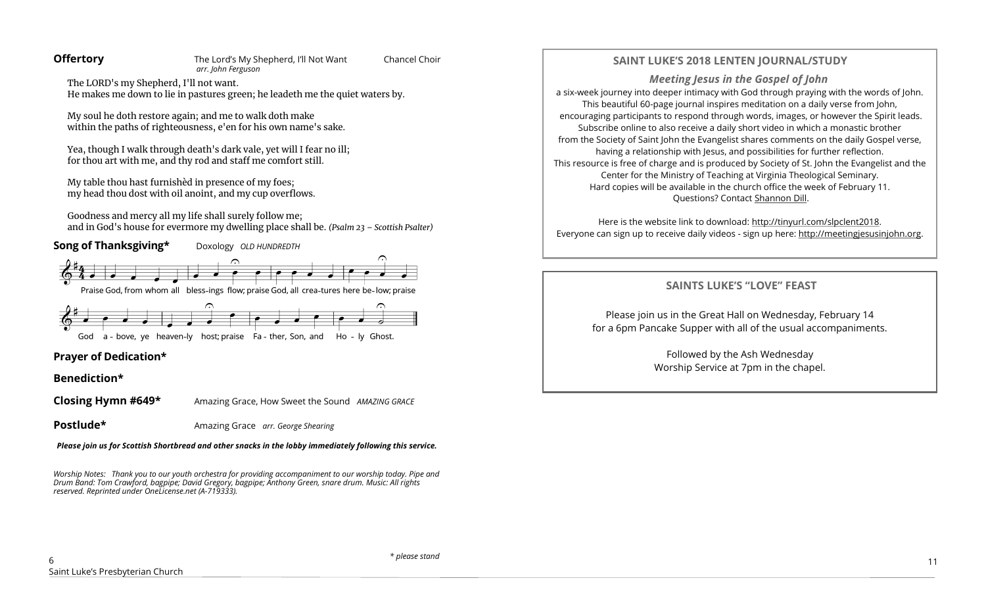The LORD's my Shepherd, I'll not want. He makes me down to lie in pastures green; he leadeth me the quiet waters by.

My soul he doth restore again; and me to walk doth make within the paths of righteousness, e'en for his own name's sake.

Yea, though I walk through death's dark vale, yet will I fear no ill; for thou art with me, and thy rod and staff me comfort still.

My table thou hast furnishèd in presence of my foes; my head thou dost with oil anoint, and my cup overflows.

Goodness and mercy all my life shall surely follow me; and in God's house for evermore my dwelling place shall be. *(Psalm 23 – Scottish Psalter)*



God a - bove, ye heaven-ly host; praise Fa - ther, Son, and Ho - ly Ghost.

#### **Prayer of Dedication\***

**Benediction\*** 

**Closing Hymn #649\*** Amazing Grace, How Sweet the Sound *AMAZING GRACE*

**Postlude\* Amazing Grace** *arr. George Shearing* 

*Please join us for Scottish Shortbread and other snacks in the lobby immediately following this service.*

*Worship Notes: Thank you to our youth orchestra for providing accompaniment to our worship today. Pipe and Drum Band: Tom Crawford, bagpipe; David Gregory, bagpipe; Anthony Green, snare drum. Music: All rights reserved. Reprinted under OneLicense.net (A-719333).* 

#### **SAINT LUKE'S 2018 LENTEN JOURNAL/STUDY**

*Meeting Jesus in the Gospel of John* a six-week journey into deeper intimacy with God through praying with the words of John. This beautiful 60-page journal inspires meditation on a daily verse from John, encouraging participants to respond through words, images, or however the Spirit leads. Subscribe online to also receive a daily short video in which a monastic brother from the Society of Saint John the Evangelist shares comments on the daily Gospel verse, having a relationship with Jesus, and possibilities for further reflection. This resource is free of charge and is produced by Society of St. John the Evangelist and the Center for the Ministry of Teaching at Virginia Theological Seminary. Hard copies will be available in the church office the week of February 11. Questions? Contact [Shannon Dill.](mailto:shannondill@slpres.org)

Here is the website link to download: [http://tinyurl.com/slpclent2018.](http://tinyurl.com/slpclent2018) Everyone can sign up to receive daily videos - sign up here: [http://meetingjesusinjohn.org.](http://meetingjesusinjohn.org/)

## **SAINTS LUKE'S "LOVE" FEAST**

Please join us in the Great Hall on Wednesday, February 14 for a 6pm Pancake Supper with all of the usual accompaniments.

> Followed by the Ash Wednesday Worship Service at 7pm in the chapel.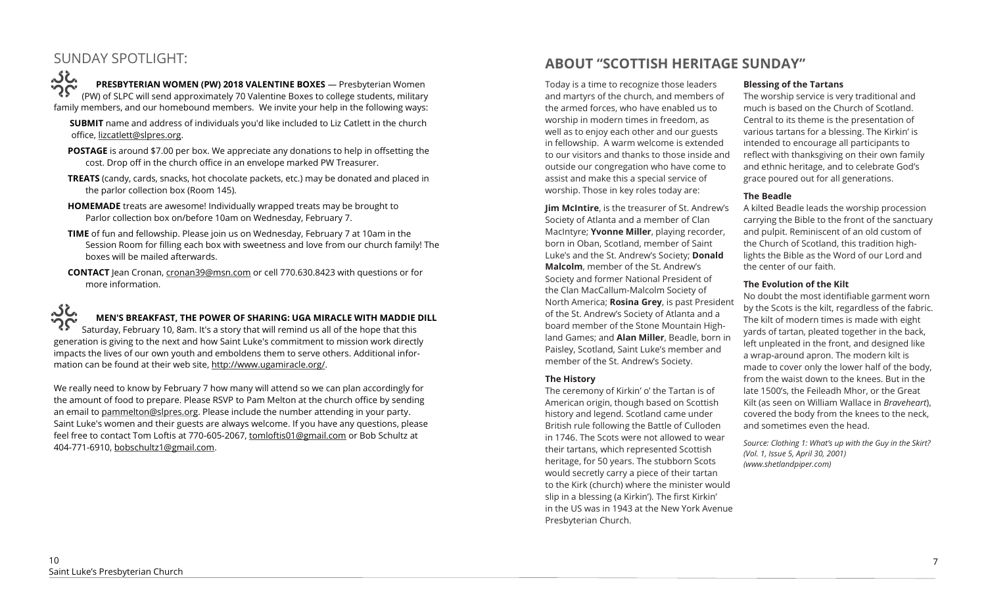# SUNDAY SPOTLIGHT:

**PRESBYTERIAN WOMEN (PW) 2018 VALENTINE BOXES** — Presbyterian Women (PW) of SLPC will send approximately 70 Valentine Boxes to college students, military family members, and our homebound members. We invite your help in the following ways:

- **SUBMIT** name and address of individuals you'd like included to Liz Catlett in the church office, [lizcatlett@slpres.org.](mailto:lizcatlett@slpres.org)
- **POSTAGE** is around \$7.00 per box. We appreciate any donations to help in offsetting the cost. Drop off in the church office in an envelope marked PW Treasurer.
- **TREATS** (candy, cards, snacks, hot chocolate packets, etc.) may be donated and placed in the parlor collection box (Room 145).
- **HOMEMADE** treats are awesome! Individually wrapped treats may be brought to Parlor collection box on/before 10am on Wednesday, February 7.
- **TIME** of fun and fellowship. Please join us on Wednesday, February 7 at 10am in the Session Room for filling each box with sweetness and love from our church family! The boxes will be mailed afterwards.
- **CONTACT** Jean Cronan, [cronan39@msn.com](mailto:cronan39@msn.com) or cell 770.630.8423 with questions or for more information.

ن ک **MEN'S BREAKFAST, THE POWER OF SHARING: UGA MIRACLE WITH MADDIE DILL** Saturday, February 10, 8am. It's a story that will remind us all of the hope that this generation is giving to the next and how Saint Luke's commitment to mission work directly impacts the lives of our own youth and emboldens them to serve others. Additional information can be found at their web site, [http://www.ugamiracle.org/.](http://www.ugamiracle.org/)

We really need to know by February 7 how many will attend so we can plan accordingly for the amount of food to prepare. Please RSVP to Pam Melton at the church office by sending an email to pammelton@slpres.org. Please include the number attending in your party. Saint Luke's women and their guests are always welcome. If you have any questions, please feel free to contact Tom Loftis at 770-605-2067, [tomloftis01@gmail.com](mailto:tomloftis01@gmail.com) or Bob Schultz at 404-771-6910, [bobschultz1@gmail.com.](mailto:bobschultz1@gmail.com)

# **ABOUT "SCOTTISH HERITAGE SUNDAY"**

Today is a time to recognize those leaders and martyrs of the church, and members of the armed forces, who have enabled us to worship in modern times in freedom, as well as to enjoy each other and our guests in fellowship. A warm welcome is extended to our visitors and thanks to those inside and outside our congregation who have come to assist and make this a special service of worship. Those in key roles today are:

**Jim McIntire**, is the treasurer of St. Andrew's Society of Atlanta and a member of Clan MacIntyre; **Yvonne Miller**, playing recorder, born in Oban, Scotland, member of Saint Luke's and the St. Andrew's Society; **Donald Malcolm**, member of the St. Andrew's Society and former National President of the Clan MacCallum-Malcolm Society of North America; **Rosina Grey**, is past President of the St. Andrew's Society of Atlanta and a board member of the Stone Mountain Highland Games; and **Alan Miller**, Beadle, born in Paisley, Scotland, Saint Luke's member and member of the St. Andrew's Society.

#### **The History**

The ceremony of Kirkin' o' the Tartan is of American origin, though based on Scottish history and legend. Scotland came under British rule following the Battle of Culloden in 1746. The Scots were not allowed to wear their tartans, which represented Scottish heritage, for 50 years. The stubborn Scots would secretly carry a piece of their tartan to the Kirk (church) where the minister would slip in a blessing (a Kirkin'). The first Kirkin' in the US was in 1943 at the New York Avenue Presbyterian Church.

#### **Blessing of the Tartans**

The worship service is very traditional and much is based on the Church of Scotland. Central to its theme is the presentation of various tartans for a blessing. The Kirkin' is intended to encourage all participants to reflect with thanksgiving on their own family and ethnic heritage, and to celebrate God's grace poured out for all generations.

#### **The Beadle**

A kilted Beadle leads the worship procession carrying the Bible to the front of the sanctuary and pulpit. Reminiscent of an old custom of the Church of Scotland, this tradition highlights the Bible as the Word of our Lord and the center of our faith.

#### **The Evolution of the Kilt**

No doubt the most identifiable garment worn by the Scots is the kilt, regardless of the fabric. The kilt of modern times is made with eight yards of tartan, pleated together in the back, left unpleated in the front, and designed like a wrap-around apron. The modern kilt is made to cover only the lower half of the body, from the waist down to the knees. But in the late 1500's, the Feileadh Mhor, or the Great Kilt (as seen on William Wallace in *Braveheart*), covered the body from the knees to the neck, and sometimes even the head.

*Source: Clothing 1: What's up with the Guy in the Skirt? (Vol. 1, Issue 5, April 30, 2001) (www.shetlandpiper.com)*